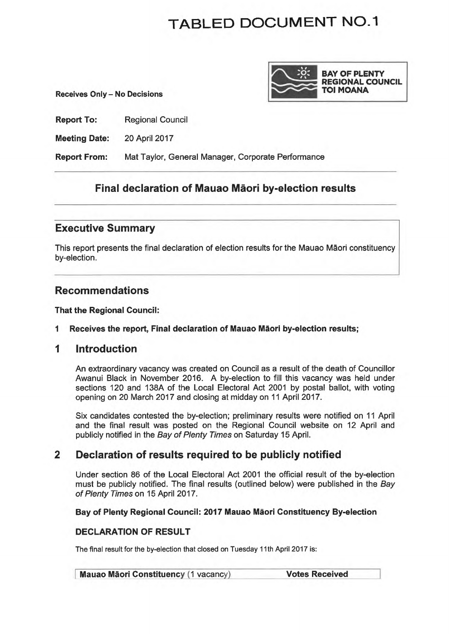# **TABLED DOCUMENT N0-1**

**Receives Only - No Decisions** 



**Report To: Regional Council** 

**Meeting Date:** 20 April 2017

**Report From:** Mat Taylor, General Manager, Corporate Performance

# **Final declaration of Mauao Maori by-election results**

## **Executive Summary**

This report presents the final declaration of election results for the Mauao Maori constituency by-election.

# **Recommendations**

**That the Regional Council:** 

## **1 Receives the report, Final declaration of Mauao Maori by-election results;**

## **1 Introduction**

An extraordinary vacancy was created on Council as a result of the death of Councillor Awanui Black in November 2016. A by-election to fill this vacancy was held under sections 120 and 138A of the Local Electoral Act 2001 by postal ballot, with voting opening on 20 March 2017 and closing at midday on 11 April 2017.

Six candidates contested the by-election; preliminary results were notified on 11 April and the final result was posted on the Regional Council website on 12 April and publicly notified in the Bay of Plenty Times on Saturday 15 April.

# **2 Declaration of results required to be publicly notified**

Under section 86 of the Local Electoral Act 2001 the official result of the by-election must be publicly notified. The final results (outlined below) were published in the Bay of Plenty Times on 15 April 2017.

## **Bay of Plenty Regional Council: 2017 Mauao Maori Constituency By-election**

## **DECLARATION OF RESULT**

The final result for the by-election that closed on Tuesday 11th April 2017 is:

| <b>Mauao Māori Constituency (1 vacancy)</b> | <b>Votes Received</b> |
|---------------------------------------------|-----------------------|
|---------------------------------------------|-----------------------|